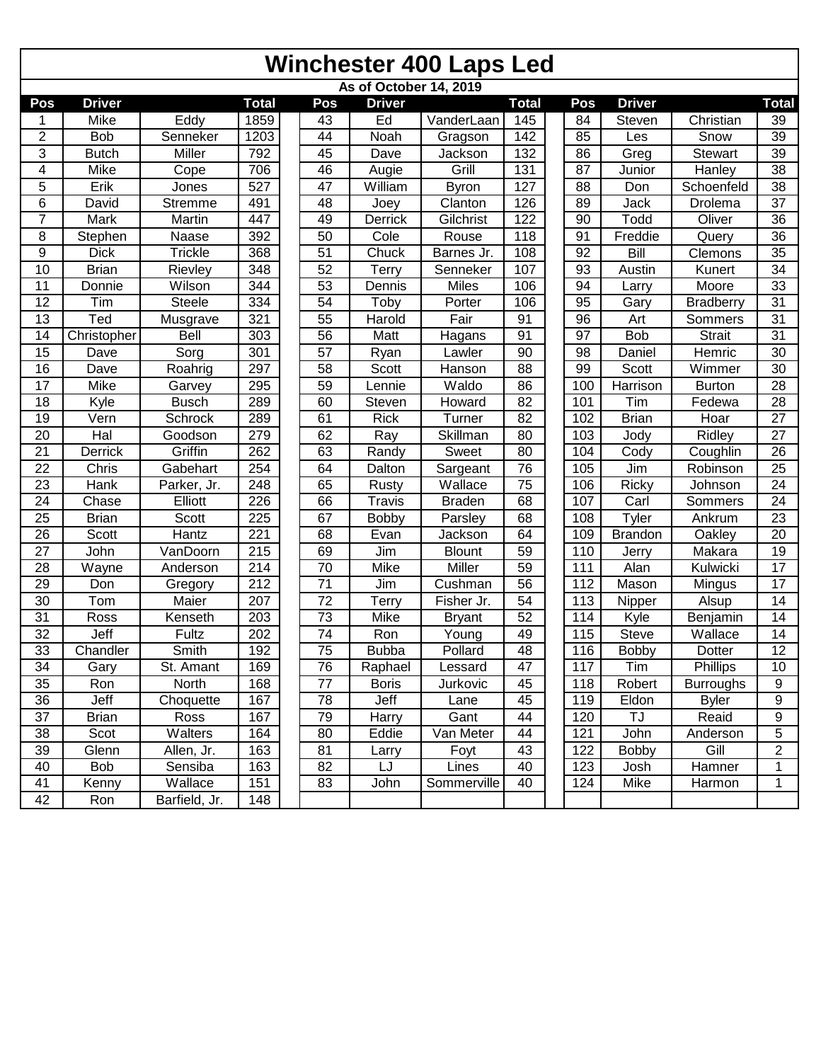|                  | <b>Winchester 400 Laps Led</b> |                |                  |  |                 |               |                             |                 |  |     |                  |                  |                 |  |
|------------------|--------------------------------|----------------|------------------|--|-----------------|---------------|-----------------------------|-----------------|--|-----|------------------|------------------|-----------------|--|
|                  | As of October 14, 2019         |                |                  |  |                 |               |                             |                 |  |     |                  |                  |                 |  |
| Pos              | <b>Driver</b>                  |                | <b>Total</b>     |  | Pos             | <b>Driver</b> |                             | <b>Total</b>    |  | Pos | <b>Driver</b>    |                  | <b>Total</b>    |  |
| 1                | Mike                           | Eddy           | 1859             |  | 43              | Ed            | VanderLaan                  | 145             |  | 84  | Steven           | Christian        | 39              |  |
| $\mathbf 2$      | Bob                            | Senneker       | 1203             |  | 44              | Noah          | Gragson                     | 142             |  | 85  | Les              | Snow             | 39              |  |
| 3                | <b>Butch</b>                   | Miller         | 792              |  | 45              | Dave          | Jackson                     | 132             |  | 86  | Greg             | Stewart          | 39              |  |
| 4                | Mike                           | Cope           | 706              |  | 46              | Augie         | Grill                       | 131             |  | 87  | Junior           | Hanley           | 38              |  |
| 5                | Erik                           | Jones          | $\overline{527}$ |  | 47              | William       | <b>Byron</b>                | 127             |  | 88  | $\overline{Don}$ | Schoenfeld       | $\overline{38}$ |  |
| 6                | David                          | <b>Stremme</b> | 491              |  | 48              | Joey          | Clanton                     | 126             |  | 89  | Jack             | <b>Drolema</b>   | 37              |  |
| $\overline{7}$   | Mark                           | Martin         | 447              |  | 49              | Derrick       | Gilchrist                   | 122             |  | 90  | Todd             | Oliver           | 36              |  |
| 8                | Stephen                        | Naase          | 392              |  | 50              | Cole          | Rouse                       | 118             |  | 91  | Freddie          | Query            | 36              |  |
| $\boldsymbol{9}$ | <b>Dick</b>                    | Trickle        | 368              |  | 51              | Chuck         | Barnes Jr.                  | 108             |  | 92  | Bill             | Clemons          | $\overline{35}$ |  |
| 10               | <b>Brian</b>                   | Rievley        | 348              |  | 52              | Terry         | Senneker                    | 107             |  | 93  | Austin           | Kunert           | 34              |  |
| 11               | Donnie                         | Wilson         | 344              |  | 53              | Dennis        | <b>Miles</b>                | 106             |  | 94  | Larry            | Moore            | 33              |  |
| 12               | Tim                            | Steele         | 334              |  | 54              | Toby          | Porter                      | 106             |  | 95  | Gary             | <b>Bradberry</b> | 31              |  |
| 13               | Ted                            | Musgrave       | 321              |  | 55              | Harold        | Fair                        | 91              |  | 96  | Art              | Sommers          | $\overline{31}$ |  |
| 14               | Christopher                    | Bell           | 303              |  | 56              | Matt          | Hagans                      | 91              |  | 97  | <b>Bob</b>       | Strait           | 31              |  |
| 15               | Dave                           | Sorg           | 301              |  | 57              | Ryan          | Lawler                      | 90              |  | 98  | Daniel           | Hemric           | 30              |  |
| 16               | Dave                           | Roahrig        | 297              |  | 58              | <b>Scott</b>  | Hanson                      | 88              |  | 99  | Scott            | Wimmer           | 30              |  |
| 17               | Mike                           | Garvey         | 295              |  | 59              | Lennie        | Waldo                       | 86              |  | 100 | Harrison         | <b>Burton</b>    | 28              |  |
| 18               | Kyle                           | <b>Busch</b>   | 289              |  | 60              | Steven        | Howard                      | 82              |  | 101 | Tim              | Fedewa           | 28              |  |
| 19               | Vern                           | Schrock        | 289              |  | 61              | <b>Rick</b>   | Turner                      | 82              |  | 102 | <b>Brian</b>     | Hoar             | 27              |  |
| 20               | Hal                            | Goodson        | 279              |  | 62              | Ray           | Skillman                    | 80              |  | 103 | Jody             | Ridley           | 27              |  |
| $\overline{21}$  | Derrick                        | Griffin        | 262              |  | 63              | Randy         | Sweet                       | 80              |  | 104 | Cody             | Coughlin         | $\overline{26}$ |  |
| 22               | Chris                          | Gabehart       | 254              |  | 64              | Dalton        | Sargeant                    | $\overline{76}$ |  | 105 | Jim              | Robinson         | 25              |  |
| 23               | Hank                           | Parker, Jr.    | 248              |  | 65              | Rusty         | $\overline{\text{Wallace}}$ | $\overline{75}$ |  | 106 | <b>Ricky</b>     | Johnson          | $\overline{24}$ |  |
| 24               | Chase                          | Elliott        | 226              |  | 66              | Travis        | <b>Braden</b>               | 68              |  | 107 | Carl             | Sommers          | 24              |  |
| $\overline{25}$  | <b>Brian</b>                   | Scott          | 225              |  | 67              | Bobby         | Parsley                     | 68              |  | 108 | Tyler            | Ankrum           | 23              |  |
| $\overline{26}$  | Scott                          | Hantz          | 221              |  | 68              | Evan          | Jackson                     | 64              |  | 109 | <b>Brandon</b>   | Oakley           | 20              |  |
| $\overline{27}$  | John                           | VanDoorn       | $\overline{215}$ |  | 69              | Jim           | <b>Blount</b>               | 59              |  | 110 | Jerry            | Makara           | 19              |  |
| 28               | Wayne                          | Anderson       | $\overline{214}$ |  | 70              | <b>Mike</b>   | Miller                      | 59              |  | 111 | Alan             | Kulwicki         | 17              |  |
| $\overline{29}$  | Don                            | Gregory        | $\overline{212}$ |  | $\overline{71}$ | Jim           | Cushman                     | 56              |  | 112 | Mason            | Mingus           | 17              |  |
| $\overline{30}$  | Tom                            | Maier          | $\overline{207}$ |  | $\overline{72}$ | Terry         | Fisher Jr.                  | $\overline{54}$ |  | 113 | Nipper           | Alsup            | $\overline{14}$ |  |
| $\overline{31}$  | Ross                           | Kenseth        | 203              |  | $\overline{73}$ | Mike          | <b>Bryant</b>               | 52              |  | 114 | Kyle             | Benjamin         | 14              |  |
| 32               | Jeff                           | Fultz          | 202              |  | $\overline{74}$ | Ron           | Young                       | 49              |  | 115 | Steve            | Wallace          | 14              |  |
| 33               | Chandler                       | Smith          | 192              |  | 75              | <b>Bubba</b>  | Pollard                     | 48              |  | 116 | <b>Bobby</b>     | Dotter           | 12              |  |
| 34               | Gary                           | St. Amant      | 169              |  | 76              | Raphael       | Lessard                     | 47              |  | 117 | Tim              | Phillips         | 10              |  |
| 35               | Ron                            | North          | 168              |  | 77              | <b>Boris</b>  | Jurkovic                    | 45              |  | 118 | Robert           | <b>Burroughs</b> | 9               |  |
| 36               | Jeff                           | Choquette      | 167              |  | 78              | Jeff          | Lane                        | 45              |  | 119 | Eldon            | <b>Byler</b>     | 9               |  |
| 37               | <b>Brian</b>                   | Ross           | 167              |  | 79              | Harry         | Gant                        | 44              |  | 120 | TJ               | Reaid            | 9               |  |
| 38               | Scot                           | Walters        | 164              |  | 80              | Eddie         | Van Meter                   | 44              |  | 121 | John             | Anderson         | 5               |  |
| 39               | Glenn                          | Allen, Jr.     | 163              |  | 81              | Larry         | Foyt                        | 43              |  | 122 | <b>Bobby</b>     | Gill             | $\overline{2}$  |  |
| 40               | Bob                            | Sensiba        | 163              |  | 82              | LJ            | Lines                       | 40              |  | 123 | Josh             | Hamner           | 1               |  |
| 41               | Kenny                          | Wallace        | 151              |  | 83              | John          | Sommerville                 | 40              |  | 124 | Mike             | Harmon           | $\mathbf 1$     |  |
| 42               | Ron                            | Barfield, Jr.  | 148              |  |                 |               |                             |                 |  |     |                  |                  |                 |  |